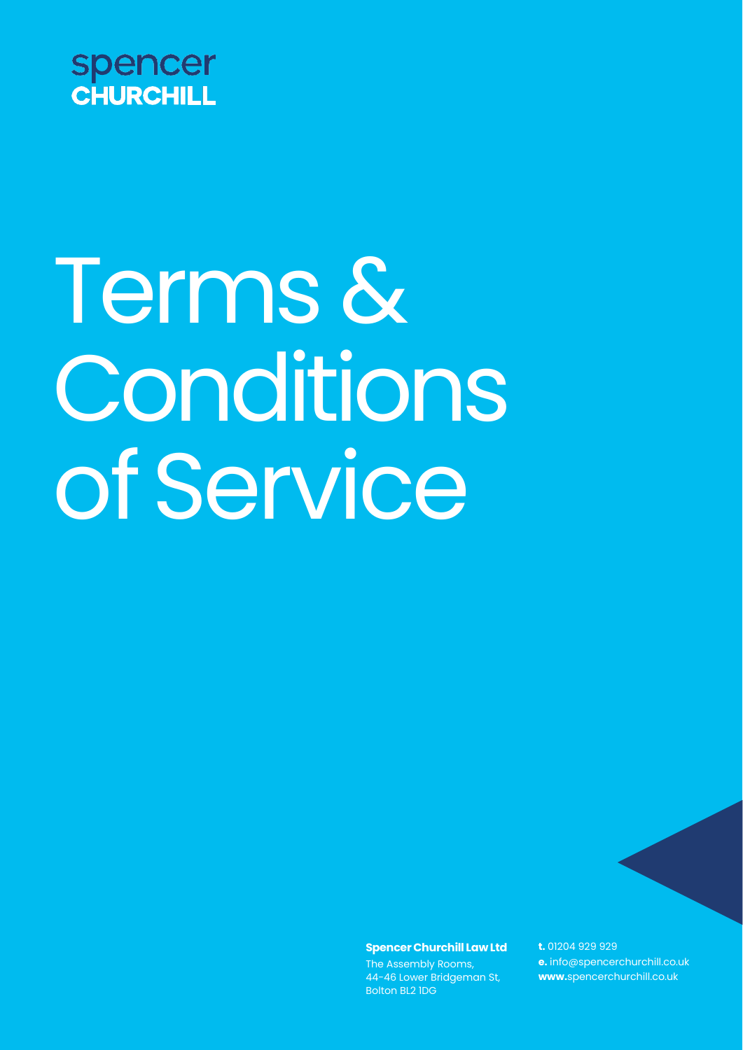

# Terms & Conditions of Service

**SpencerChurchill Law Ltd**

The Assembly Rooms, 44-46 Lower Bridgeman St, Bolton BL2 1DG

**t.** 01204 929 929 **e.** [info@spencerchurchill.co.uk](mailto:info@spencerchurchill.co.uk) **www.**[spencerchurchill.co.uk](http://www.spencerchurchill.co.uk/)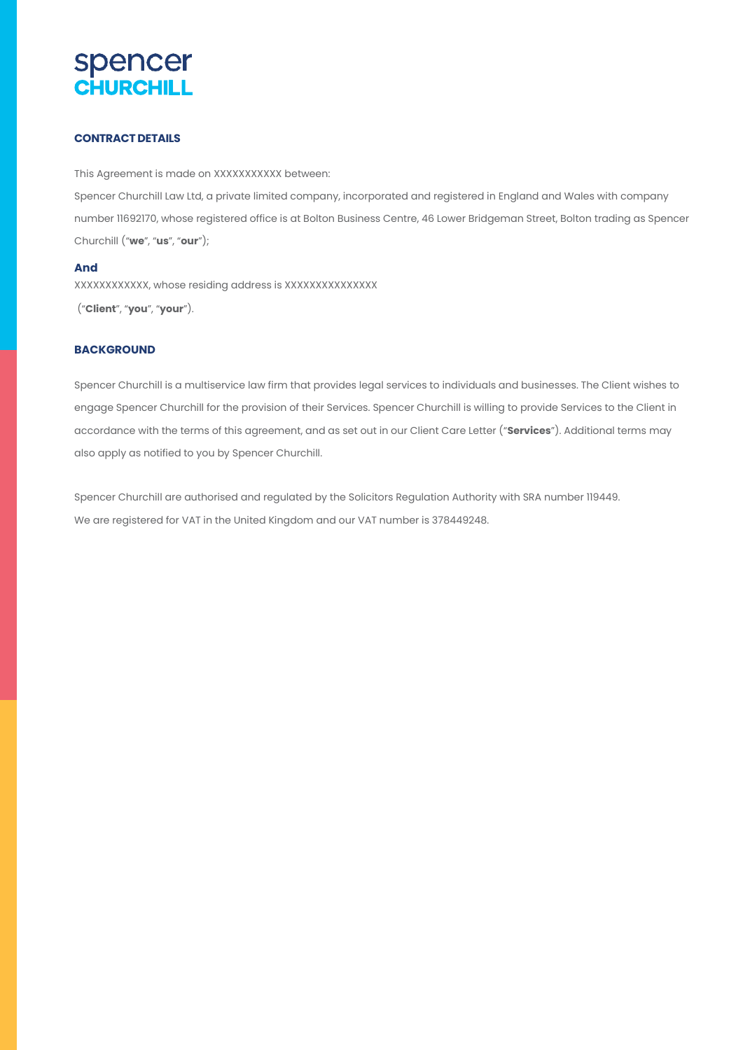### **CONTRACT DETAILS**

This Agreement is made on XXXXXXXXXXX between: Spencer Churchill Law Ltd, a private limited company, incorporated and registered in England and Wales with company number 11692170, whose registered office is at Bolton Business Centre, 46 Lower Bridgeman Street, Bolton trading as Spencer Churchill ("**we**", "**us**", "**our**");

#### **And**

XXXXXXXXXXXX, whose residing address is XXXXXXXXXXXXXXX

("**Client**", "**you**", "**your**").

#### **BACKGROUND**

Spencer Churchill is a multiservice law firm that provides legal services to individuals and businesses. The Client wishes to engage Spencer Churchill for the provision of their Services. Spencer Churchill is willing to provide Services to the Client in accordance with the terms of this agreement, and as set out in our Client Care Letter ("**Services**"). Additional terms may also apply as notified to you by Spencer Churchill.

Spencer Churchill are authorised and regulated by the Solicitors Regulation Authority with SRA number 119449. We are registered for VAT in the United Kingdom and our VAT number is 378449248.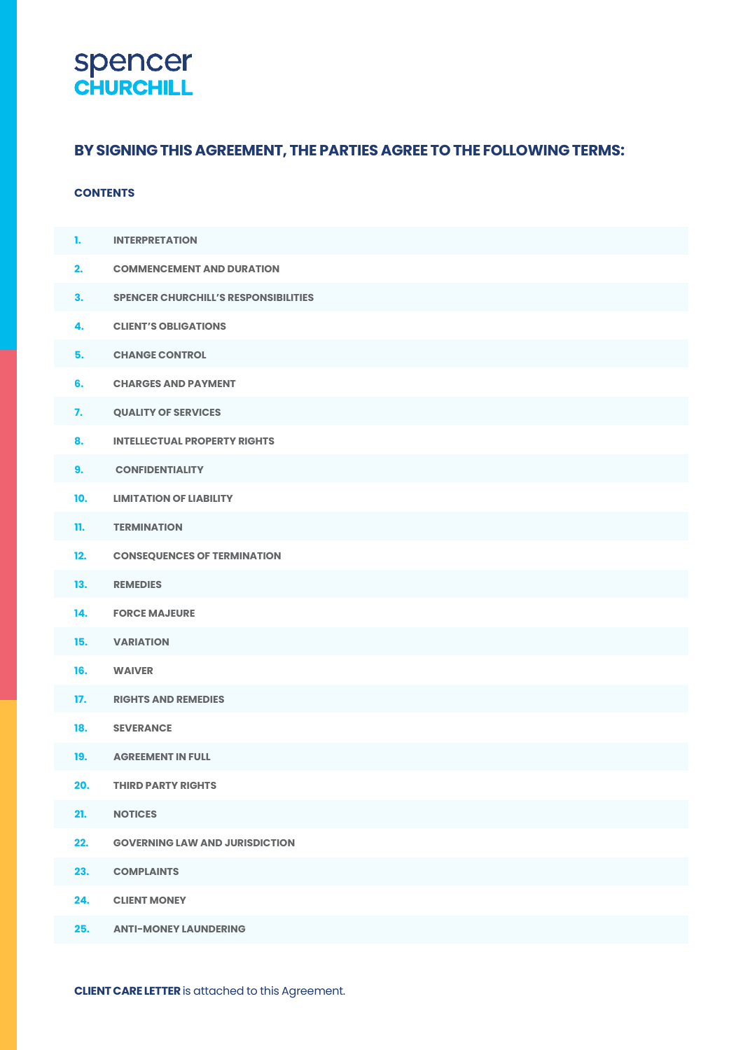## **Spencer**<br>**CHURCHILL**

### **BYSIGNINGTHIS AGREEMENT, THE PARTIES AGREE TO THE FOLLOWING TERMS:**

### **CONTENTS**

| 1.  | <b>INTERPRETATION</b>                       |
|-----|---------------------------------------------|
| 2.  | <b>COMMENCEMENT AND DURATION</b>            |
| 3.  | <b>SPENCER CHURCHILL'S RESPONSIBILITIES</b> |
| 4.  | <b>CLIENT'S OBLIGATIONS</b>                 |
| 5.  | <b>CHANGE CONTROL</b>                       |
| 6.  | <b>CHARGES AND PAYMENT</b>                  |
| 7.  | <b>QUALITY OF SERVICES</b>                  |
| 8.  | <b>INTELLECTUAL PROPERTY RIGHTS</b>         |
| 9.  | <b>CONFIDENTIALITY</b>                      |
| 10. | <b>LIMITATION OF LIABILITY</b>              |
| 11. | <b>TERMINATION</b>                          |
| 12. | <b>CONSEQUENCES OF TERMINATION</b>          |
| 13. | <b>REMEDIES</b>                             |
| 14. | <b>FORCE MAJEURE</b>                        |
| 15. | <b>VARIATION</b>                            |
| 16. | <b>WAIVER</b>                               |
| 17. | <b>RIGHTS AND REMEDIES</b>                  |
| 18. | <b>SEVERANCE</b>                            |
| 19. | <b>AGREEMENT IN FULL</b>                    |
| 20. | <b>THIRD PARTY RIGHTS</b>                   |
| 21. | <b>NOTICES</b>                              |
| 22. | <b>GOVERNING LAW AND JURISDICTION</b>       |
| 23. | <b>COMPLAINTS</b>                           |
| 24. | <b>CLIENT MONEY</b>                         |
| 25. | <b>ANTI-MONEY LAUNDERING</b>                |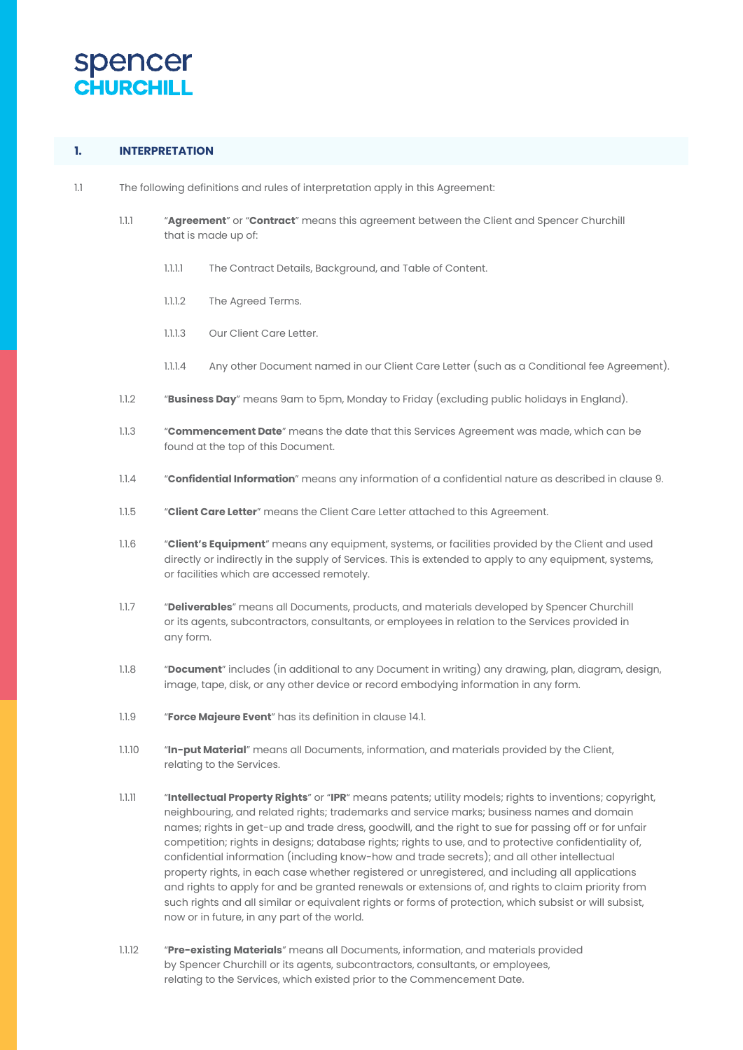

### **1. INTERPRETATION**

- 1.1 The following definitions and rules of interpretation apply in this Agreement:
	- 1.1.1 "**Agreement**" or "**Contract**" means this agreement between the Client and Spencer Churchill that is made up of:
		- 1.1.1.1 The Contract Details, Background, and Table of Content.
		- 1.1.1.2 The Agreed Terms.
		- 1.1.1.3 Our Client Care Letter.
		- 1.1.1.4 Any other Document named in our Client Care Letter (such as a Conditional fee Agreement).
	- 1.1.2 "**Business Day**" means 9am to 5pm, Monday to Friday (excluding public holidays in England).
	- 1.1.3 "**Commencement Date**" means the date that this Services Agreement was made, which can be found at the top of this Document.
	- 1.1.4 "**Confidential Information**" means any information of a confidential nature as described in clause 9.
	- 1.1.5 "**Client Care Letter**" means the Client Care Letter attached to this Agreement.
	- 1.1.6 "**Client's Equipment**" means any equipment, systems, or facilities provided by the Client and used directly or indirectly in the supply of Services. This is extended to apply to any equipment, systems, or facilities which are accessed remotely.
	- 1.1.7 "**Deliverables**" means all Documents, products, and materials developed by Spencer Churchill or its agents, subcontractors, consultants, or employees in relation to the Services provided in any form.
	- 1.1.8 "**Document**" includes (in additional to any Document in writing) any drawing, plan, diagram, design, image, tape, disk, or any other device or record embodying information in any form.
	- 1.1.9 "**Force Majeure Event**" has its definition in clause 14.1.
	- 1.1.10 "**In-put Material**" means all Documents, information, and materials provided by the Client, relating to the Services.
	- 1.1.11 "**Intellectual Property Rights**" or "**IPR**" means patents; utility models; rights to inventions; copyright, neighbouring, and related rights; trademarks and service marks; business names and domain names; rights in get-up and trade dress, goodwill, and the right to sue for passing off or for unfair competition; rights in designs; database rights; rights to use, and to protective confidentiality of, confidential information (including know-how and trade secrets); and all other intellectual property rights, in each case whether registered or unregistered, and including all applications and rights to apply for and be granted renewals or extensions of, and rights to claim priority from such rights and all similar or equivalent rights or forms of protection, which subsist or will subsist, now or in future, in any part of the world.
	- 1.1.12 "**Pre-existing Materials**" means all Documents, information, and materials provided by Spencer Churchill or its agents, subcontractors, consultants, or employees, relating to the Services, which existed prior to the Commencement Date.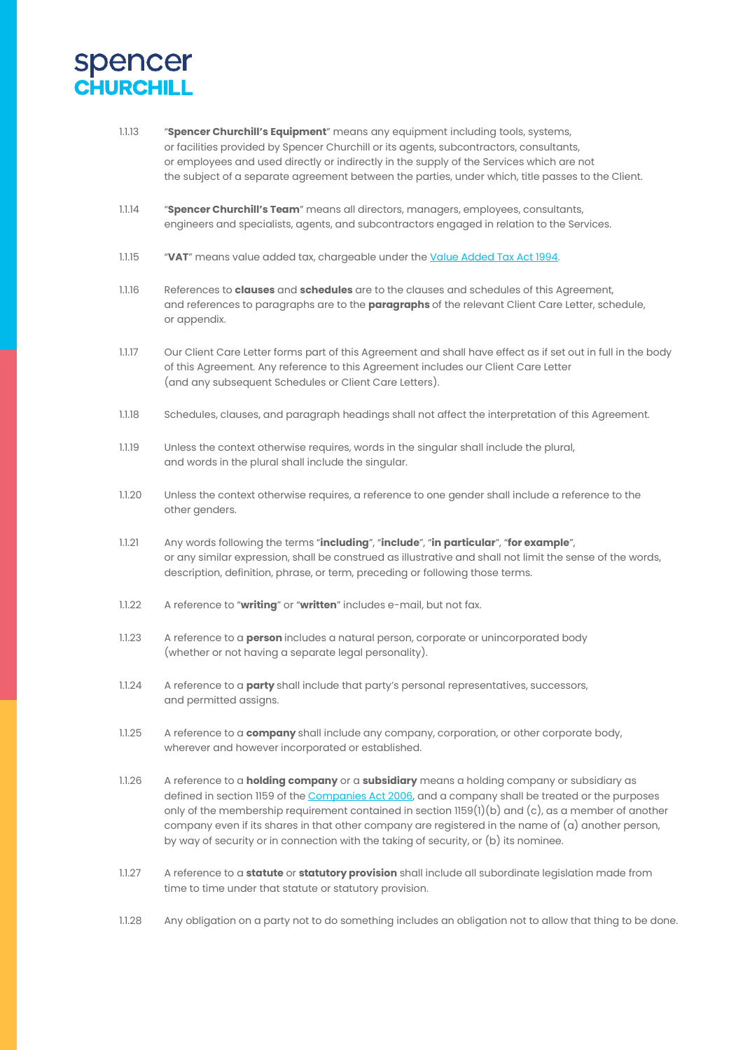

- 1.1.13 "**Spencer Churchill's Equipment**" means any equipment including tools, systems, or facilities provided by Spencer Churchill or its agents, subcontractors, consultants, or employees and used directly or indirectly in the supply of the Services which are not the subject of a separate agreement between the parties, under which, title passes to the Client.
- 1.1.14 "**Spencer Churchill's Team**" means all directors, managers, employees, consultants, engineers and specialists, agents, and subcontractors engaged in relation to the Services.
- 1.1.15 "**VAT**" means value added tax, chargeable under the Value Added Tax Act 1994.
- 1.1.16 References to **clauses** and **schedules** are to the clauses and schedules of this Agreement, and references to paragraphs are to the **paragraphs** of the relevant Client Care Letter, schedule, or appendix.
- 1.1.17 Our Client Care Letter forms part of this Agreement and shall have effect as if set out in full in the body of this Agreement. Any reference to this Agreement includes our Client Care Letter (and any subsequent Schedules or Client Care Letters).
- 1.1.18 Schedules, clauses, and paragraph headings shall not affect the interpretation of this Agreement.
- 1.1.19 Unless the context otherwise requires, words in the singular shall include the plural, and words in the plural shall include the singular.
- 1.1.20 Unless the context otherwise requires, a reference to one gender shall include a reference to the other genders.
- 1.1.21 Any words following the terms "**including**", "**include**", "**in particular**", "**for example**", or any similar expression, shall be construed as illustrative and shall not limit the sense of the words, description, definition, phrase, or term, preceding or following those terms.
- 1.1.22 A reference to "**writing**" or "**written**" includes e-mail, but not fax.
- 1.1.23 A reference to a **person** includes a natural person, corporate or unincorporated body (whether or not having a separate legal personality).
- 1.1.24 A reference to a **party** shall include that party's personal representatives, successors, and permitted assigns.
- 1.1.25 A reference to a **company** shall include any company, corporation, or other corporate body, wherever and however incorporated or established.
- 1.1.26 A reference to a **holding company** or a **subsidiary** means a holding company or subsidiary as defined in section 1159 of the Companies Act 2006, and a company shall be treated or the purposes only of the membership requirement contained in section 1159(1)(b) and (c), as a member of another company even if its shares in that other company are registered in the name of (a) another person, by way of security or in connection with the taking of security, or (b) its nominee.
- 1.1.27 A reference to a **statute** or **statutory provision** shall include all subordinate legislation made from time to time under that statute or statutory provision.
- 1.1.28 Any obligation on a party not to do something includes an obligation not to allow that thing to be done.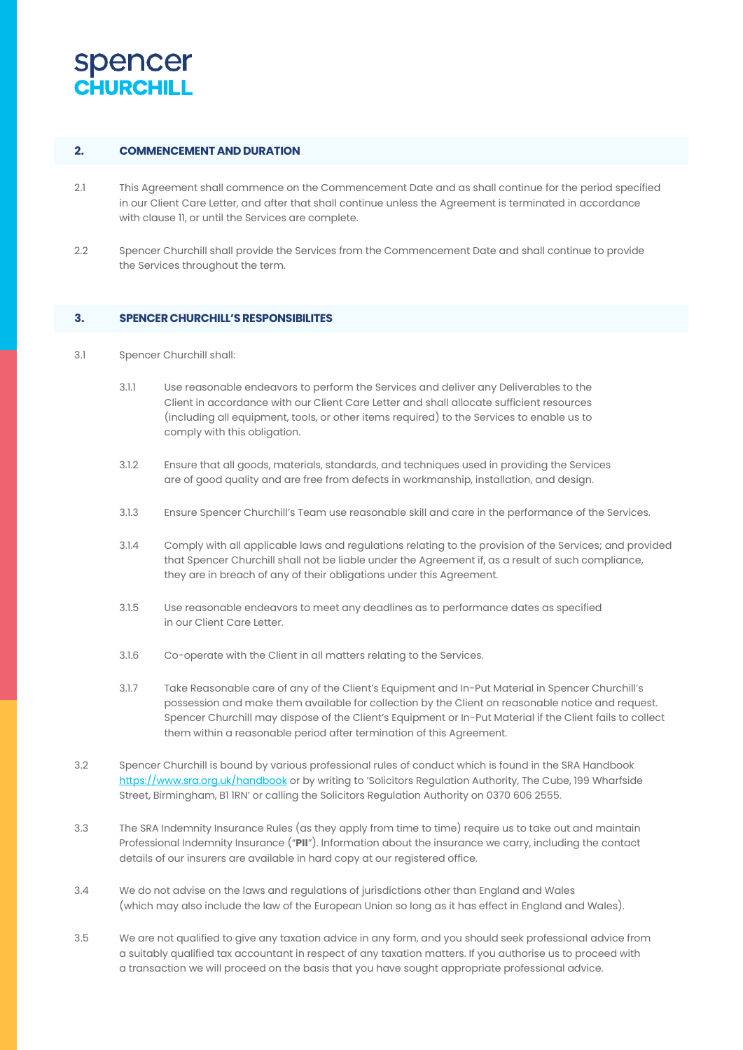

### **2. COMMENCEMENTAND DURATION**

- 2.1 This Agreement shall commence on the Commencement Date and as shall continue for the period specified in our Client Care Letter, and after that shall continue unless the Agreement is terminated in accordance with clause 11, or until the Services are complete.
- 2.2 Spencer Churchill shall provide the Services from the Commencement Date and shall continue to provide the Services throughout the term.

#### **3. SPENCERCHURCHILL'SRESPONSIBILITES**

- 3.1 Spencer Churchill shall:
	- 3.1.1 Use reasonable endeavors to perform the Services and deliver any Deliverables to the Client in accordance with our Client Care Letter and shall allocate sufficient resources (including all equipment, tools, or other items required) to the Services to enable us to comply with this obligation.
	- 3.1.2 Ensure that all goods, materials, standards, and techniques used in providing the Services are of good quality and are free from defects in workmanship, installation, and design.
	- 3.1.3 Ensure Spencer Churchill's Team use reasonable skill and care in the performance of the Services.
	- 3.1.4 Comply with all applicable laws and regulations relating to the provision of the Services; and provided that Spencer Churchill shall not be liable under the Agreement if, as a result of such compliance, they are in breach of any of their obligations under this Agreement.
	- 3.1.5 Use reasonable endeavors to meet any deadlines as to performance dates as specified in our Client Care Letter.
	- 3.1.6 Co-operate with the Client in all matters relating to the Services.
	- 3.1.7 Take Reasonable care of any of the Client's Equipment and In-Put Material in Spencer Churchill's possession and make them available for collection by the Client on reasonable notice and request. Spencer Churchill may dispose of the Client's Equipment or In-Put Material if the Client fails to collect them within a reasonable period after termination of this Agreement.
- 3.2 Spencer Churchill is bound by various professional rules of conduct which is found in the SRA Handbook [https://www.sra.org.uk/handbook](http://www.sra.org.uk/handbook) or by writing to 'Solicitors Regulation Authority, The Cube, 199 Wharfside Street, Birmingham, B1 1RN' or calling the Solicitors Regulation Authority on 0370 606 2555.
- 3.3 The SRA Indemnity Insurance Rules (as they apply from time to time) require us to take out and maintain Professional Indemnity Insurance ("**PII**"). Information about the insurance we carry, including the contact details of our insurers are available in hard copy at our registered office.
- 3.4 We do not advise on the laws and regulations of jurisdictions other than England and Wales (which may also include the law of the European Union so long as it has effect in England and Wales).
- 3.5 We are not qualified to give any taxation advice in any form, and you should seek professional advice from a suitably qualified tax accountant in respect of any taxation matters. If you authorise us to proceed with a transaction we will proceed on the basis that you have sought appropriate professional advice.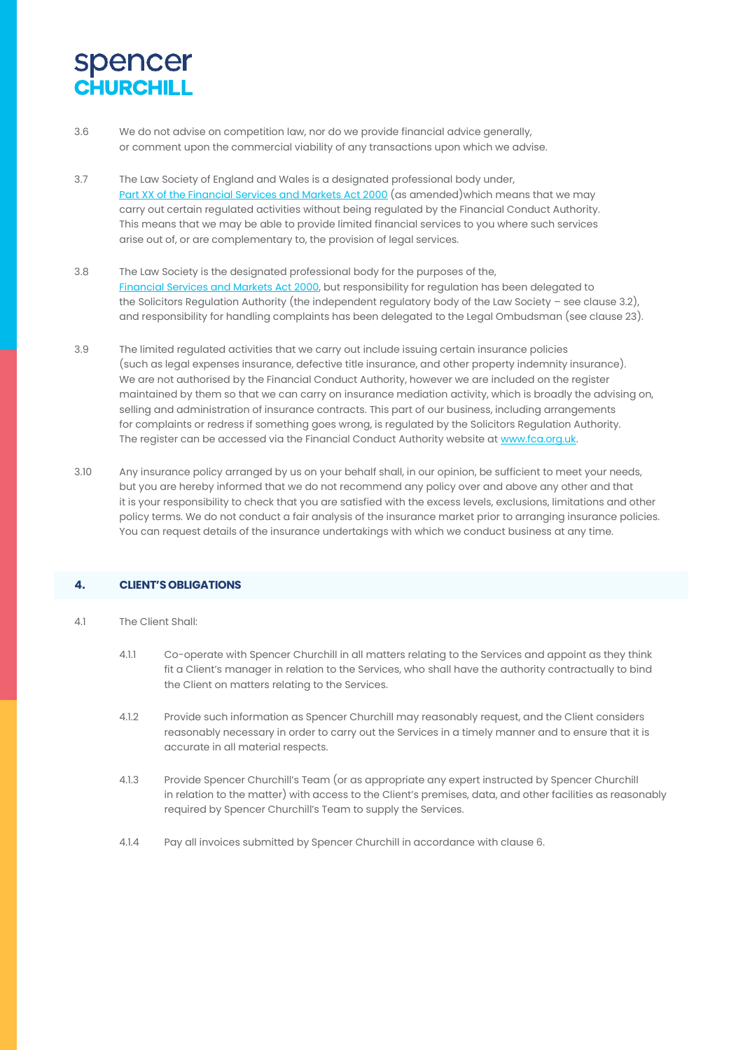- 3.6 We do not advise on competition law, nor do we provide financial advice generally, or comment upon the commercial viability of any transactions upon which we advise.
- 3.7 The Law Society of England and Wales is a designated professional body under, Part XX of the Financial Services and Markets Act 2000 (as amended)which means that we may carry out certain regulated activities without being regulated by the Financial Conduct Authority. This means that we may be able to provide limited financial services to you where such services arise out of, or are complementary to, the provision of legal services.
- 3.8 The Law Society is the designated professional body for the purposes of the, Financial Services and Markets Act 2000, but responsibility for regulation has been delegated to the Solicitors Regulation Authority (the independent regulatory body of the Law Society – see clause 3.2), and responsibility for handling complaints has been delegated to the Legal Ombudsman (see clause 23).
- 3.9 The limited regulated activities that we carry out include issuing certain insurance policies (such as legal expenses insurance, defective title insurance, and other property indemnity insurance). We are not authorised by the Financial Conduct Authority, however we are included on the register maintained by them so that we can carry on insurance mediation activity, which is broadly the advising on, selling and administration of insurance contracts. This part of our business, including arrangements for complaints or redress if something goes wrong, is regulated by the Solicitors Regulation Authority. The register can be accessed via the Financial Conduct Authority website a[t www.fca.org.uk.](http://www.fca.org.uk/)
- 3.10 Any insurance policy arranged by us on your behalf shall, in our opinion, be sufficient to meet your needs, but you are hereby informed that we do not recommend any policy over and above any other and that it is your responsibility to check that you are satisfied with the excess levels, exclusions, limitations and other policy terms. We do not conduct a fair analysis of the insurance market prior to arranging insurance policies. You can request details of the insurance undertakings with which we conduct business at any time.

### **4. CLIENT'SOBLIGATIONS**

- 4.1 The Client Shall:
	- 4.1.1 Co-operate with Spencer Churchill in all matters relating to the Services and appoint as they think fit a Client's manager in relation to the Services, who shall have the authority contractually to bind the Client on matters relating to the Services.
	- 4.1.2 Provide such information as Spencer Churchill may reasonably request, and the Client considers reasonably necessary in order to carry out the Services in a timely manner and to ensure that it is accurate in all material respects.
	- 4.1.3 Provide Spencer Churchill's Team (or as appropriate any expert instructed by Spencer Churchill in relation to the matter) with access to the Client's premises, data, and other facilities as reasonably required by Spencer Churchill's Team to supply the Services.
	- 4.1.4 Pay all invoices submitted by Spencer Churchill in accordance with clause 6.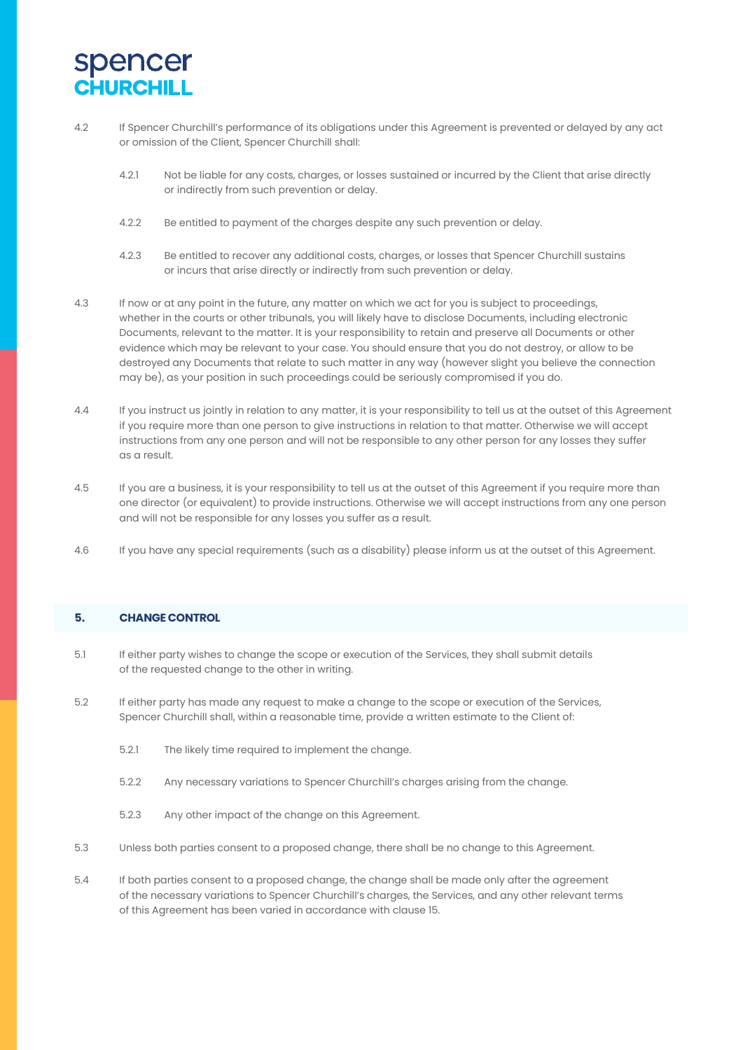

- 4.2 If Spencer Churchill's performance of its obligations under this Agreement is prevented or delayed by any act or omission of the Client, Spencer Churchill shall:
	- 4.2.1 Not be liable for any costs, charges, or losses sustained or incurred by the Client that arise directly or indirectly from such prevention or delay.
	- 4.2.2 Be entitled to payment of the charges despite any such prevention or delay.
	- 4.2.3 Be entitled to recover any additional costs, charges, or losses that Spencer Churchill sustains or incurs that arise directly or indirectly from such prevention or delay.
- 4.3 If now or at any point in the future, any matter on which we act for you is subject to proceedings, whether in the courts or other tribunals, you will likely have to disclose Documents, including electronic Documents, relevant to the matter. It is your responsibility to retain and preserve all Documents or other evidence which may be relevant to your case. You should ensure that you do not destroy, or allow to be destroyed any Documents that relate to such matter in any way (however slight you believe the connection may be), as your position in such proceedings could be seriously compromised if you do.
- 4.4 If you instruct us jointly in relation to any matter, it is your responsibility to tell us at the outset of this Agreement if you require more than one person to give instructions in relation to that matter. Otherwise we will accept instructions from any one person and will not be responsible to any other person for any losses they suffer as a result.
- 4.5 If you are a business, it is your responsibility to tell us at the outset of this Agreement if you require more than one director (or equivalent) to provide instructions. Otherwise we will accept instructions from any one person and will not be responsible for any losses you suffer as a result.
- 4.6 If you have any special requirements (such as a disability) please inform us at the outset of this Agreement.

#### **5. CHANGE CONTROL**

- 5.1 If either party wishes to change the scope or execution of the Services, they shall submit details of the requested change to the other in writing.
- 5.2 If either party has made any request to make a change to the scope or execution of the Services, Spencer Churchill shall, within a reasonable time, provide a written estimate to the Client of:
	- 5.2.1 The likely time required to implement the change.
	- 5.2.2 Any necessary variations to Spencer Churchill's charges arising from the change.
	- 5.2.3 Any other impact of the change on this Agreement.
- 5.3 Unless both parties consent to a proposed change, there shall be no change to this Agreement.
- 5.4 If both parties consent to a proposed change, the change shall be made only after the agreement of the necessary variations to Spencer Churchill's charges, the Services, and any other relevant terms of this Agreement has been varied in accordance with clause 15.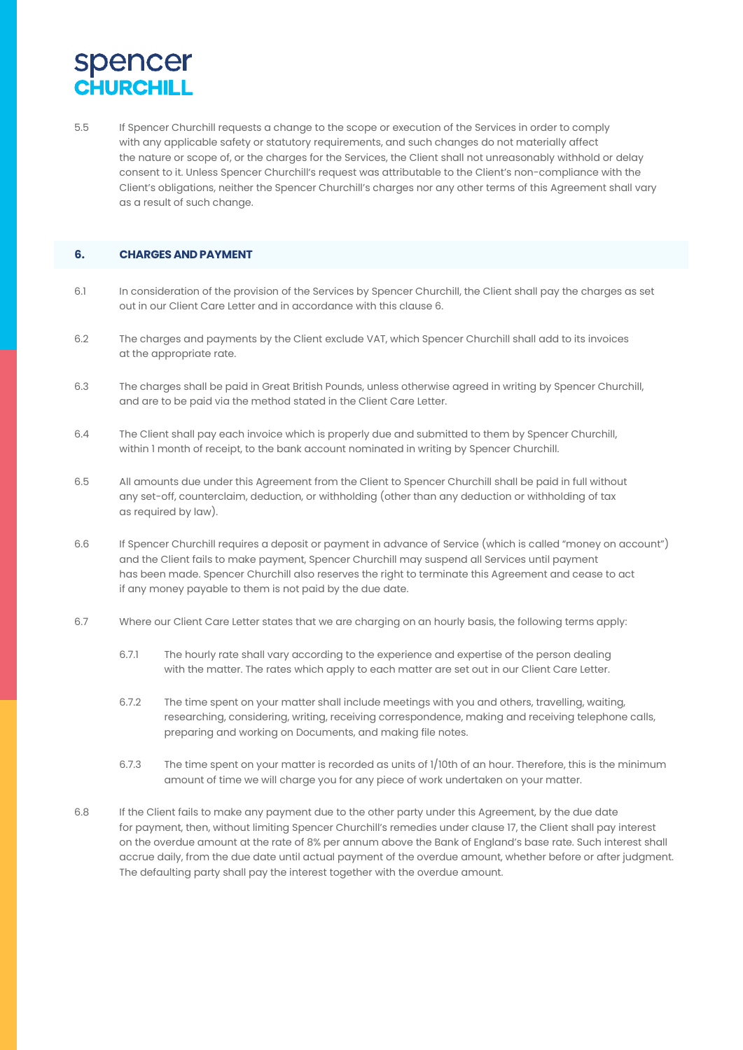5.5 If Spencer Churchill requests a change to the scope or execution of the Services in order to comply with any applicable safety or statutory requirements, and such changes do not materially affect the nature or scope of, or the charges for the Services, the Client shall not unreasonably withhold or delay consent to it. Unless Spencer Churchill's request was attributable to the Client's non-compliance with the Client's obligations, neither the Spencer Churchill's charges nor any other terms of this Agreement shall vary as a result of such change.

### **6. CHARGES AND PAYMENT**

- 6.1 In consideration of the provision of the Services by Spencer Churchill, the Client shall pay the charges as set out in our Client Care Letter and in accordance with this clause 6.
- 6.2 The charges and payments by the Client exclude VAT, which Spencer Churchill shall add to its invoices at the appropriate rate.
- 6.3 The charges shall be paid in Great British Pounds, unless otherwise agreed in writing by Spencer Churchill, and are to be paid via the method stated in the Client Care Letter.
- 6.4 The Client shall pay each invoice which is properly due and submitted to them by Spencer Churchill, within 1 month of receipt, to the bank account nominated in writing by Spencer Churchill.
- 6.5 All amounts due under this Agreement from the Client to Spencer Churchill shall be paid in full without any set-off, counterclaim, deduction, or withholding (other than any deduction or withholding of tax as required by law).
- 6.6 If Spencer Churchill requires a deposit or payment in advance of Service (which is called "money on account") and the Client fails to make payment, Spencer Churchill may suspend all Services until payment has been made. Spencer Churchill also reserves the right to terminate this Agreement and cease to act if any money payable to them is not paid by the due date.
- 6.7 Where our Client Care Letter states that we are charging on an hourly basis, the following terms apply:
	- 6.7.1 The hourly rate shall vary according to the experience and expertise of the person dealing with the matter. The rates which apply to each matter are set out in our Client Care Letter.
	- 6.7.2 The time spent on your matter shall include meetings with you and others, travelling, waiting, researching, considering, writing, receiving correspondence, making and receiving telephone calls, preparing and working on Documents, and making file notes.
	- 6.7.3 The time spent on your matter is recorded as units of 1/10th of an hour. Therefore, this is the minimum amount of time we will charge you for any piece of work undertaken on your matter.
- 6.8 If the Client fails to make any payment due to the other party under this Agreement, by the due date for payment, then, without limiting Spencer Churchill's remedies under clause 17, the Client shall pay interest on the overdue amount at the rate of 8% per annum above the Bank of England's base rate. Such interest shall accrue daily, from the due date until actual payment of the overdue amount, whether before or after judgment. The defaulting party shall pay the interest together with the overdue amount.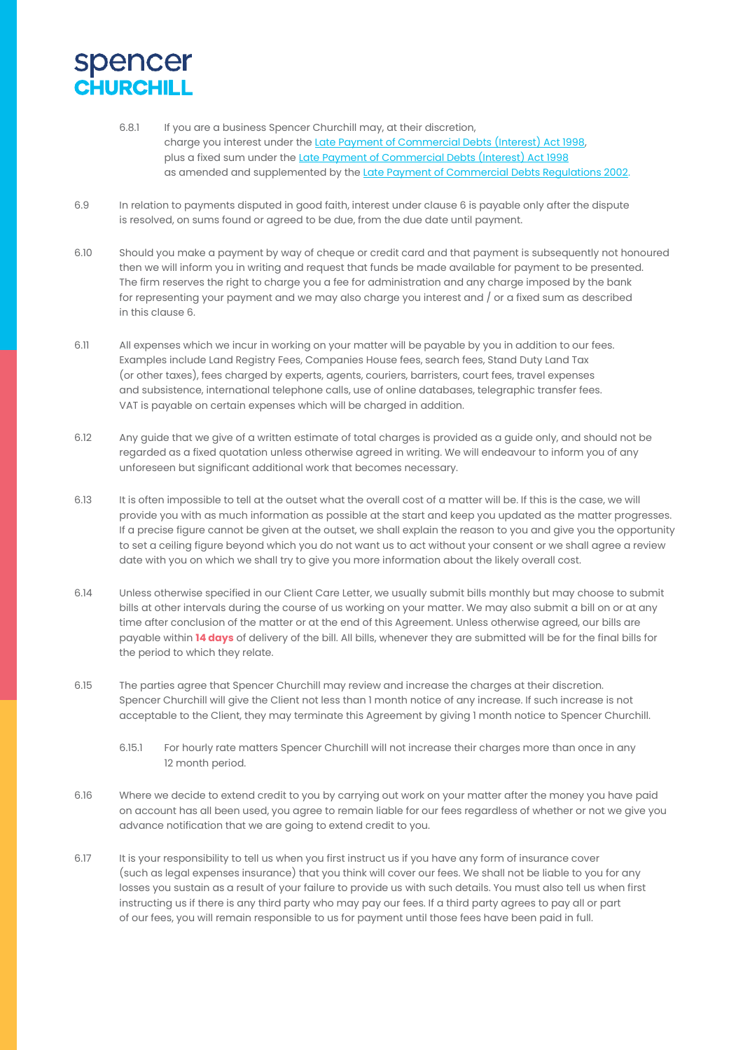- 6.8.1 If you are a business Spencer Churchill may, at their discretion, charge you interest under the Late Payment of Commercial Debts (Interest) Act 1998, plus a fixed sum under the Late Payment of Commercial Debts (Interest) Act 1998 as amended and supplemented by the Late Payment of Commercial Debts Regulations 2002.
- 6.9 In relation to payments disputed in good faith, interest under clause 6 is payable only after the dispute is resolved, on sums found or agreed to be due, from the due date until payment.
- 6.10 Should you make a payment by way of cheque or credit card and that payment is subsequently not honoured then we will inform you in writing and request that funds be made available for payment to be presented. The firm reserves the right to charge you a fee for administration and any charge imposed by the bank for representing your payment and we may also charge you interest and / or a fixed sum as described in this clause 6.
- 6.11 All expenses which we incur in working on your matter will be payable by you in addition to our fees. Examples include Land Registry Fees, Companies House fees, search fees, Stand Duty Land Tax (or other taxes), fees charged by experts, agents, couriers, barristers, court fees, travel expenses and subsistence, international telephone calls, use of online databases, telegraphic transfer fees. VAT is payable on certain expenses which will be charged in addition.
- 6.12 Any guide that we give of a written estimate of total charges is provided as a guide only, and should not be regarded as a fixed quotation unless otherwise agreed in writing. We will endeavour to inform you of any unforeseen but significant additional work that becomes necessary.
- 6.13 It is often impossible to tell at the outset what the overall cost of a matter will be. If this is the case, we will provide you with as much information as possible at the start and keep you updated as the matter progresses. If a precise figure cannot be given at the outset, we shall explain the reason to you and give you the opportunity to set a ceiling figure beyond which you do not want us to act without your consent or we shall agree a review date with you on which we shall try to give you more information about the likely overall cost.
- 6.14 Unless otherwise specified in our Client Care Letter, we usually submit bills monthly but may choose to submit bills at other intervals during the course of us working on your matter. We may also submit a bill on or at any time after conclusion of the matter or at the end of this Agreement. Unless otherwise agreed, our bills are payable within **14 days** of delivery of the bill. All bills, whenever they are submitted will be for the final bills for the period to which they relate.
- 6.15 The parties agree that Spencer Churchill may review and increase the charges at their discretion. Spencer Churchill will give the Client not less than 1 month notice of any increase. If such increase is not acceptable to the Client, they may terminate this Agreement by giving 1 month notice to Spencer Churchill.
	- 6.15.1 For hourly rate matters Spencer Churchill will not increase their charges more than once in any 12 month period.
- 6.16 Where we decide to extend credit to you by carrying out work on your matter after the money you have paid on account has all been used, you agree to remain liable for our fees regardless of whether or not we give you advance notification that we are going to extend credit to you.
- 6.17 It is your responsibility to tell us when you first instruct us if you have any form of insurance cover (such as legal expenses insurance) that you think will cover our fees. We shall not be liable to you for any losses you sustain as a result of your failure to provide us with such details. You must also tell us when first instructing us if there is any third party who may pay our fees. If a third party agrees to pay all or part of our fees, you will remain responsible to us for payment until those fees have been paid in full.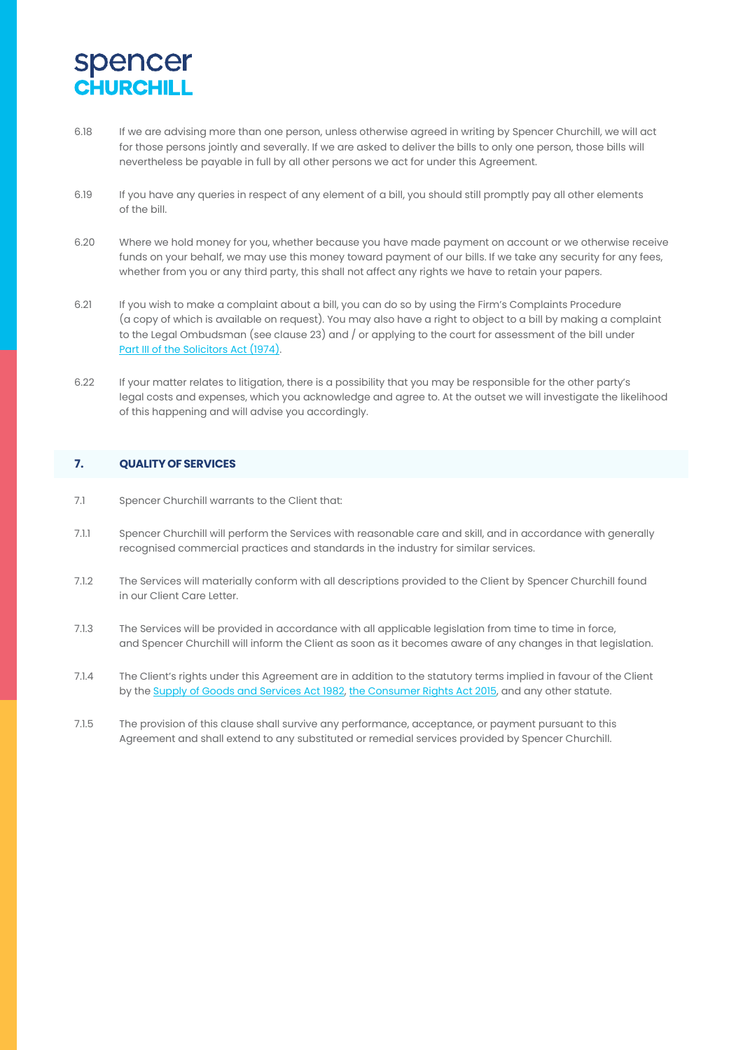- 6.18 If we are advising more than one person, unless otherwise agreed in writing by Spencer Churchill, we will act for those persons jointly and severally. If we are asked to deliver the bills to only one person, those bills will nevertheless be payable in full by all other persons we act for under this Agreement.
- 6.19 If you have any queries in respect of any element of a bill, you should still promptly pay all other elements of the bill.
- 6.20 Where we hold money for you, whether because you have made payment on account or we otherwise receive funds on your behalf, we may use this money toward payment of our bills. If we take any security for any fees, whether from you or any third party, this shall not affect any rights we have to retain your papers.
- 6.21 If you wish to make a complaint about a bill, you can do so by using the Firm's Complaints Procedure (a copy of which is available on request). You may also have a right to object to a bill by making a complaint to the Legal Ombudsman (see clause 23) and / or applying to the court for assessment of the bill under Part III of the Solicitors Act (1974).
- 6.22 If your matter relates to litigation, there is a possibility that you may be responsible for the other party's legal costs and expenses, which you acknowledge and agree to. At the outset we will investigate the likelihood of this happening and will advise you accordingly.

### **7. QUALITYOFSERVICES**

- 7.1 Spencer Churchill warrants to the Client that:
- 7.1.1 Spencer Churchill will perform the Services with reasonable care and skill, and in accordance with generally recognised commercial practices and standards in the industry for similar services.
- 7.1.2 The Services will materially conform with all descriptions provided to the Client by Spencer Churchill found in our Client Care Letter.
- 7.1.3 The Services will be provided in accordance with all applicable legislation from time to time in force, and Spencer Churchill will inform the Client as soon as it becomes aware of any changes in that legislation.
- 7.1.4 The Client's rights under this Agreement are in addition to the statutory terms implied in favour of the Client by the Supply of Goods and Services Act 1982, the Consumer Rights Act 2015, and any other statute.
- 7.1.5 The provision of this clause shall survive any performance, acceptance, or payment pursuant to this Agreement and shall extend to any substituted or remedial services provided by Spencer Churchill.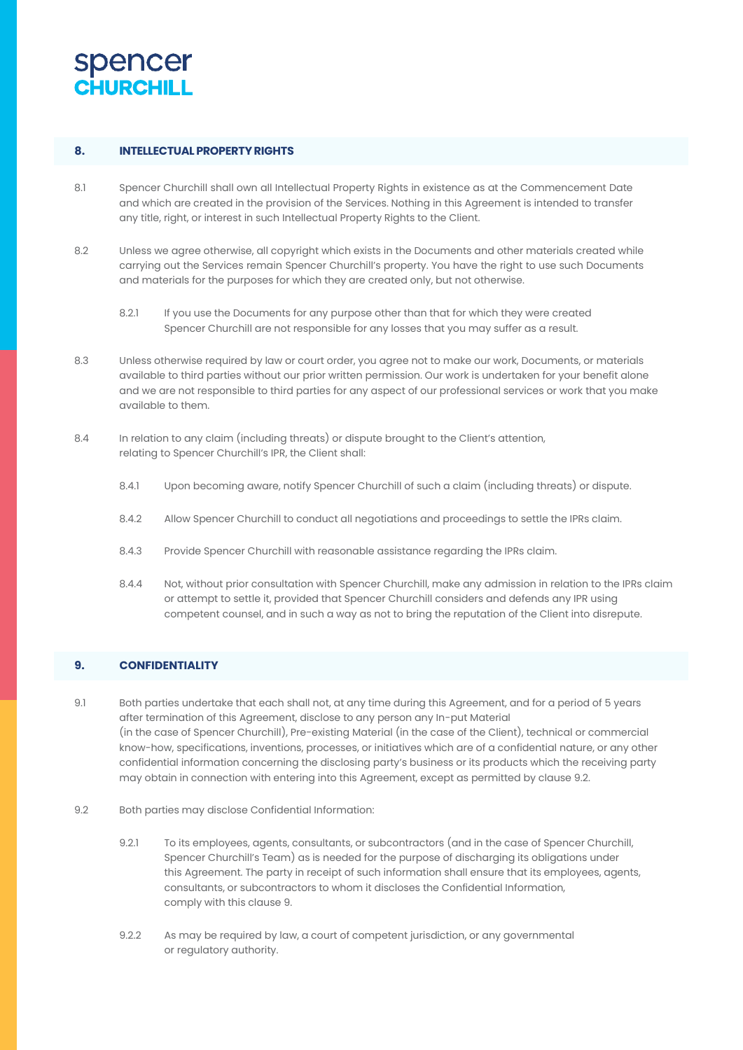

### **8. INTELLECTUALPROPERTYRIGHTS**

- 8.1 Spencer Churchill shall own all Intellectual Property Rights in existence as at the Commencement Date and which are created in the provision of the Services. Nothing in this Agreement is intended to transfer any title, right, or interest in such Intellectual Property Rights to the Client.
- 8.2 Unless we agree otherwise, all copyright which exists in the Documents and other materials created while carrying out the Services remain Spencer Churchill's property. You have the right to use such Documents and materials for the purposes for which they are created only, but not otherwise.
	- 8.2.1 If you use the Documents for any purpose other than that for which they were created Spencer Churchill are not responsible for any losses that you may suffer as a result.
- 8.3 Unless otherwise required by law or court order, you agree not to make our work, Documents, or materials available to third parties without our prior written permission. Our work is undertaken for your benefit alone and we are not responsible to third parties for any aspect of our professional services or work that you make available to them.
- 8.4 In relation to any claim (including threats) or dispute brought to the Client's attention, relating to Spencer Churchill's IPR, the Client shall:
	- 8.4.1 Upon becoming aware, notify Spencer Churchill of such a claim (including threats) or dispute.
	- 8.4.2 Allow Spencer Churchill to conduct all negotiations and proceedings to settle the IPRs claim.
	- 8.4.3 Provide Spencer Churchill with reasonable assistance regarding the IPRs claim.
	- 8.4.4 Not, without prior consultation with Spencer Churchill, make any admission in relation to the IPRs claim or attempt to settle it, provided that Spencer Churchill considers and defends any IPR using competent counsel, and in such a way as not to bring the reputation of the Client into disrepute.

### **9. CONFIDENTIALITY**

- 9.1 Both parties undertake that each shall not, at any time during this Agreement, and for a period of 5 years after termination of this Agreement, disclose to any person any In-put Material (in the case of Spencer Churchill), Pre-existing Material (in the case of the Client), technical or commercial know-how, specifications, inventions, processes, or initiatives which are of a confidential nature, or any other confidential information concerning the disclosing party's business or its products which the receiving party may obtain in connection with entering into this Agreement, except as permitted by clause 9.2.
- 9.2 Both parties may disclose Confidential Information:
	- 9.2.1 To its employees, agents, consultants, or subcontractors (and in the case of Spencer Churchill, Spencer Churchill's Team) as is needed for the purpose of discharging its obligations under this Agreement. The party in receipt of such information shall ensure that its employees, agents, consultants, or subcontractors to whom it discloses the Confidential Information, comply with this clause 9.
	- 9.2.2 As may be required by law, a court of competent jurisdiction, or any governmental or regulatory authority.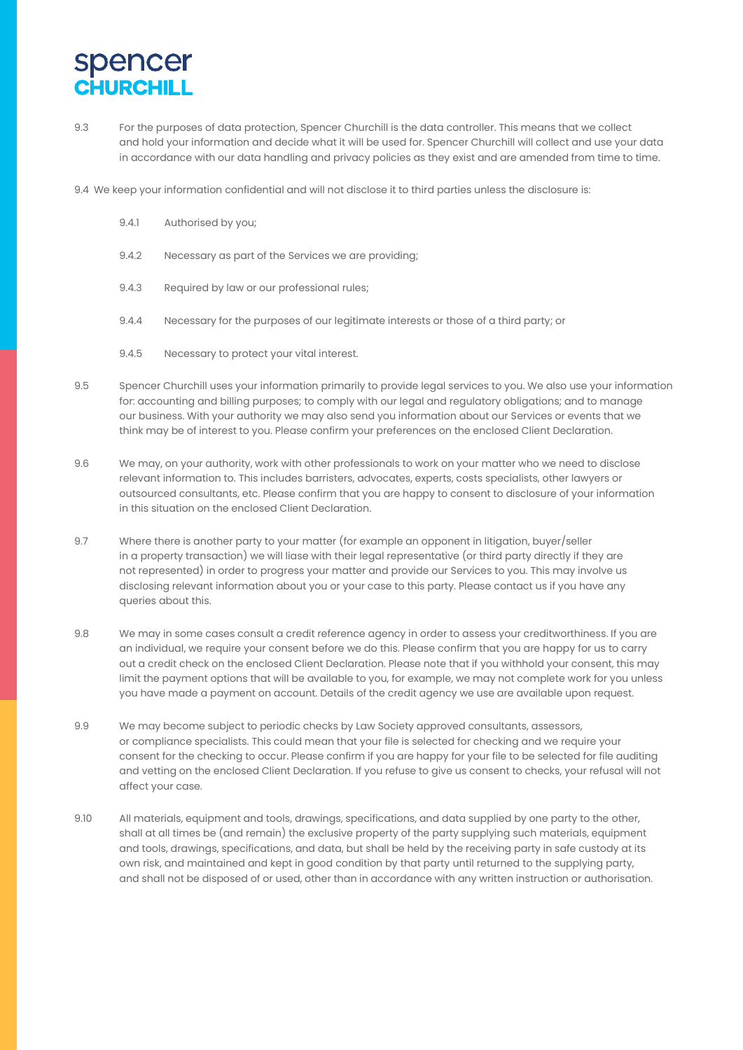9.3 For the purposes of data protection, Spencer Churchill is the data controller. This means that we collect and hold your information and decide what it will be used for. Spencer Churchill will collect and use your data in accordance with our data handling and privacy policies as they exist and are amended from time to time.

9.4 We keep your information confidential and will not disclose it to third parties unless the disclosure is:

- 9.4.1 Authorised by you;
- 9.4.2 Necessary as part of the Services we are providing;
- 9.4.3 Required by law or our professional rules;
- 9.4.4 Necessary for the purposes of our legitimate interests or those of a third party; or
- 9.4.5 Necessary to protect your vital interest.
- 9.5 Spencer Churchill uses your information primarily to provide legal services to you. We also use your information for: accounting and billing purposes; to comply with our legal and regulatory obligations; and to manage our business. With your authority we may also send you information about our Services or events that we think may be of interest to you. Please confirm your preferences on the enclosed Client Declaration.
- 9.6 We may, on your authority, work with other professionals to work on your matter who we need to disclose relevant information to. This includes barristers, advocates, experts, costs specialists, other lawyers or outsourced consultants, etc. Please confirm that you are happy to consent to disclosure of your information in this situation on the enclosed Client Declaration.
- 9.7 Where there is another party to your matter (for example an opponent in litigation, buyer/seller in a property transaction) we will liase with their legal representative (or third party directly if they are not represented) in order to progress your matter and provide our Services to you. This may involve us disclosing relevant information about you or your case to this party. Please contact us if you have any queries about this.
- 9.8 We may in some cases consult a credit reference agency in order to assess your creditworthiness. If you are an individual, we require your consent before we do this. Please confirm that you are happy for us to carry out a credit check on the enclosed Client Declaration. Please note that if you withhold your consent, this may limit the payment options that will be available to you, for example, we may not complete work for you unless you have made a payment on account. Details of the credit agency we use are available upon request.
- 9.9 We may become subject to periodic checks by Law Society approved consultants, assessors, or compliance specialists. This could mean that your file is selected for checking and we require your consent for the checking to occur. Please confirm if you are happy for your file to be selected for file auditing and vetting on the enclosed Client Declaration. If you refuse to give us consent to checks, your refusal will not affect your case.
- 9.10 All materials, equipment and tools, drawings, specifications, and data supplied by one party to the other, shall at all times be (and remain) the exclusive property of the party supplying such materials, equipment and tools, drawings, specifications, and data, but shall be held by the receiving party in safe custody at its own risk, and maintained and kept in good condition by that party until returned to the supplying party, and shall not be disposed of or used, other than in accordance with any written instruction or authorisation.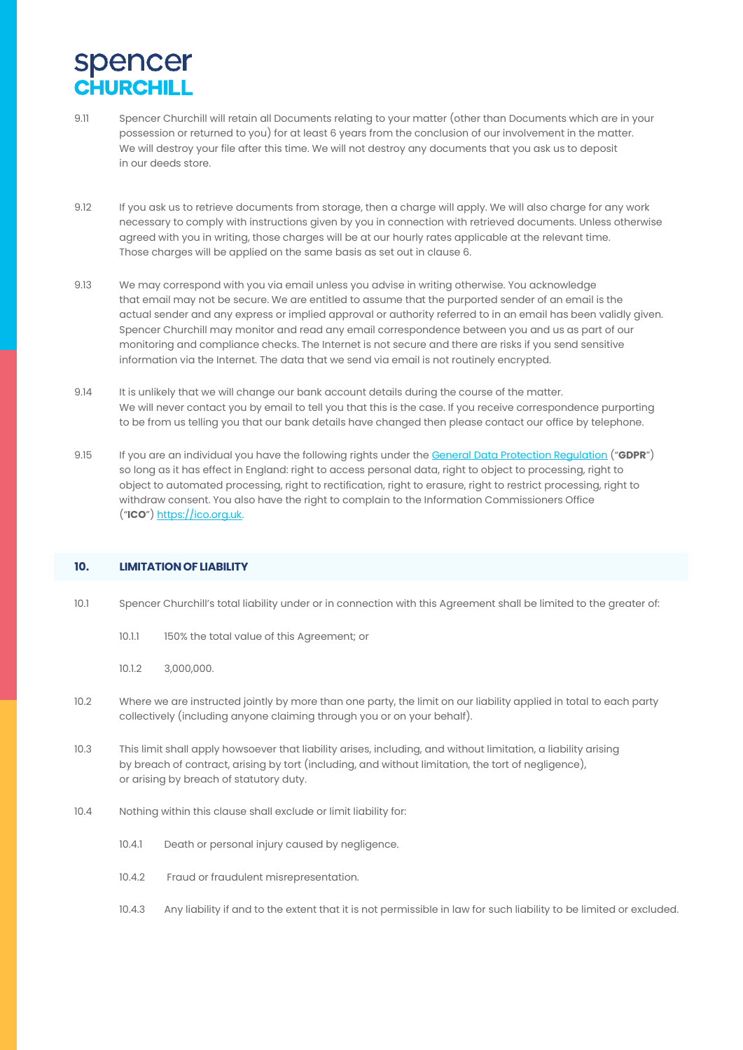- 9.11 Spencer Churchill will retain all Documents relating to your matter (other than Documents which are in your possession or returned to you) for at least 6 years from the conclusion of our involvement in the matter. We will destroy your file after this time. We will not destroy any documents that you ask us to deposit in our deeds store.
- 9.12 If you ask us to retrieve documents from storage, then a charge will apply. We will also charge for any work necessary to comply with instructions given by you in connection with retrieved documents. Unless otherwise agreed with you in writing, those charges will be at our hourly rates applicable at the relevant time. Those charges will be applied on the same basis as set out in clause 6.
- 9.13 We may correspond with you via email unless you advise in writing otherwise. You acknowledge that email may not be secure. We are entitled to assume that the purported sender of an email is the actual sender and any express or implied approval or authority referred to in an email has been validly given. Spencer Churchill may monitor and read any email correspondence between you and us as part of our monitoring and compliance checks. The Internet is not secure and there are risks if you send sensitive information via the Internet. The data that we send via email is not routinely encrypted.
- 9.14 It is unlikely that we will change our bank account details during the course of the matter. We will never contact you by email to tell you that this is the case. If you receive correspondence purporting to be from us telling you that our bank details have changed then please contact our office by telephone.
- 9.15 If you are an individual you have the following rights under the General Data Protection Regulation ("**GDPR**") so long as it has effect in England: right to access personal data, right to object to processing, right to object to automated processing, right to rectification, right to erasure, right to restrict processing, right to withdraw consent. You also have the right to complain to the Information Commissioners Office ("**ICO**") https://ico.org.uk.

### **10. LIMITATIONOF LIABILITY**

- 10.1 Spencer Churchill's total liability under or in connection with this Agreement shall be limited to the greater of:
	- 10.1.1 150% the total value of this Agreement; or
	- 10.1.2 3,000,000.
- 10.2 Where we are instructed jointly by more than one party, the limit on our liability applied in total to each party collectively (including anyone claiming through you or on your behalf).
- 10.3 This limit shall apply howsoever that liability arises, including, and without limitation, a liability arising by breach of contract, arising by tort (including, and without limitation, the tort of negligence), or arising by breach of statutory duty.
- 10.4 Nothing within this clause shall exclude or limit liability for:
	- 10.4.1 Death or personal injury caused by negligence.
	- 10.4.2 Fraud or fraudulent misrepresentation.
	- 10.4.3 Any liability if and to the extent that it is not permissible in law for such liability to be limited or excluded.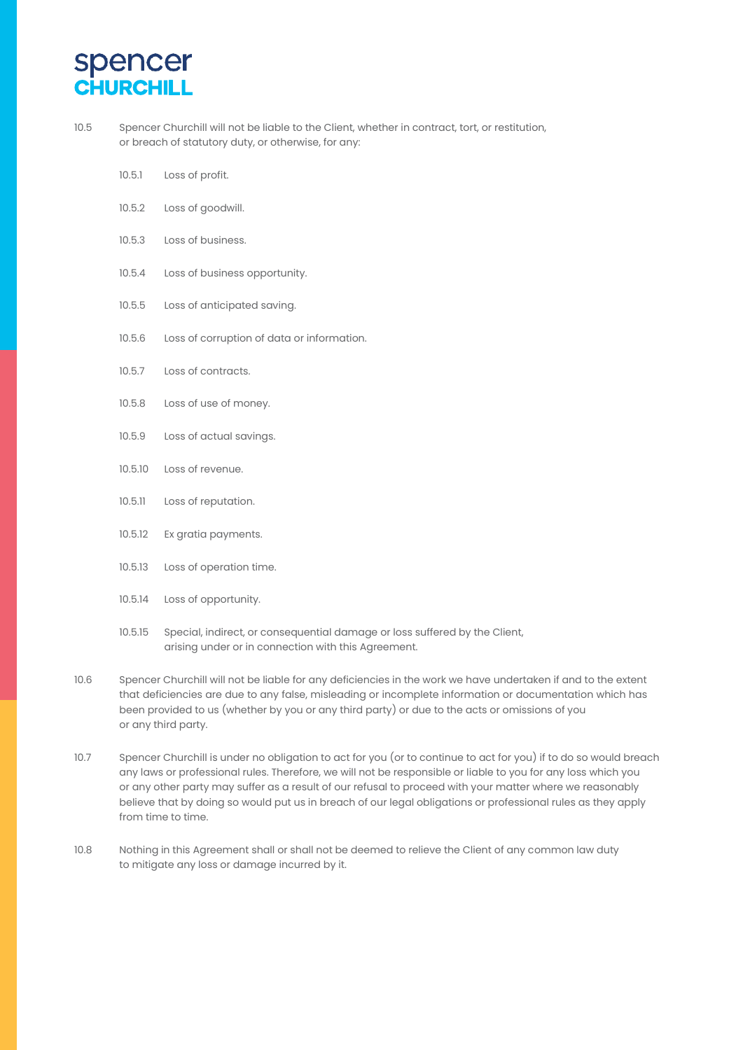10.5 Spencer Churchill will not be liable to the Client, whether in contract, tort, or restitution, or breach of statutory duty, or otherwise, for any:

- 10.5.1 Loss of profit.
- 10.5.2 Loss of goodwill.
- 10.5.3 Loss of business.
- 10.5.4 Loss of business opportunity.
- 10.5.5 Loss of anticipated saving.
- 10.5.6 Loss of corruption of data or information.
- 10.5.7 Loss of contracts.
- 10.5.8 Loss of use of money.
- 10.5.9 Loss of actual savings.
- 10.5.10 Loss of revenue.
- 10.5.11 Loss of reputation.
- 10.5.12 Ex gratia payments.
- 10.5.13 Loss of operation time.
- 10.5.14 Loss of opportunity.
- 10.5.15 Special, indirect, or consequential damage or loss suffered by the Client, arising under or in connection with this Agreement.
- 10.6 Spencer Churchill will not be liable for any deficiencies in the work we have undertaken if and to the extent that deficiencies are due to any false, misleading or incomplete information or documentation which has been provided to us (whether by you or any third party) or due to the acts or omissions of you or any third party.
- 10.7 Spencer Churchill is under no obligation to act for you (or to continue to act for you) if to do so would breach any laws or professional rules. Therefore, we will not be responsible or liable to you for any loss which you or any other party may suffer as a result of our refusal to proceed with your matter where we reasonably believe that by doing so would put us in breach of our legal obligations or professional rules as they apply from time to time.
- 10.8 Nothing in this Agreement shall or shall not be deemed to relieve the Client of any common law duty to mitigate any loss or damage incurred by it.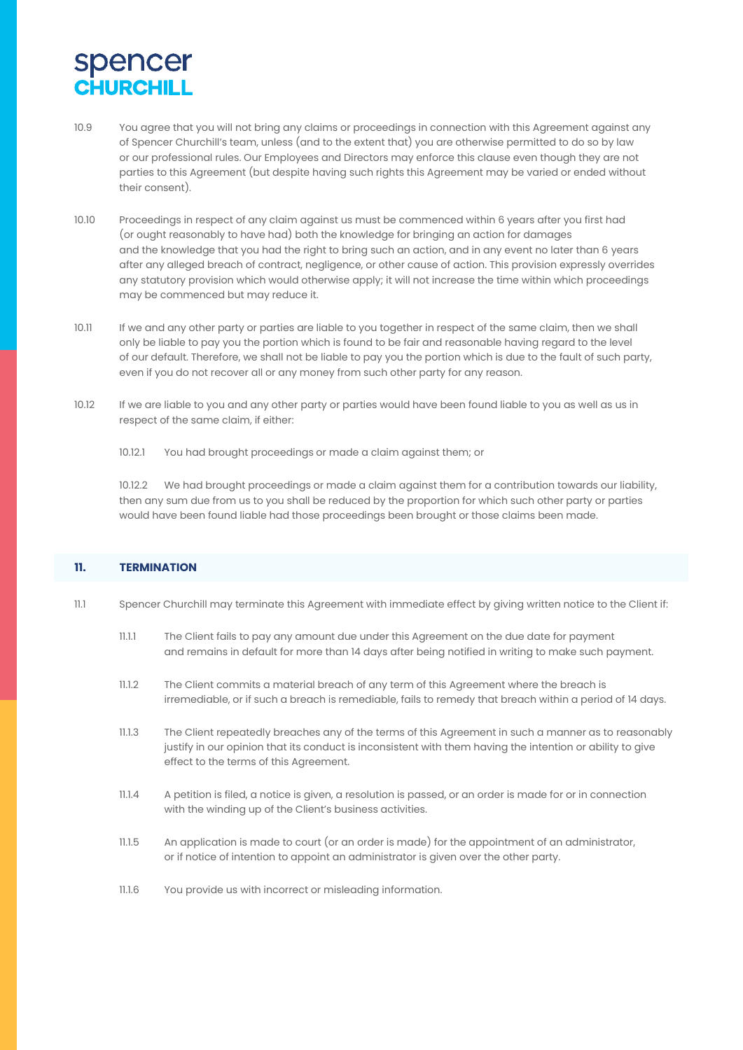- 10.9 You agree that you will not bring any claims or proceedings in connection with this Agreement against any of Spencer Churchill's team, unless (and to the extent that) you are otherwise permitted to do so by law or our professional rules. Our Employees and Directors may enforce this clause even though they are not parties to this Agreement (but despite having such rights this Agreement may be varied or ended without their consent).
- 10.10 Proceedings in respect of any claim against us must be commenced within 6 years after you first had (or ought reasonably to have had) both the knowledge for bringing an action for damages and the knowledge that you had the right to bring such an action, and in any event no later than 6 years after any alleged breach of contract, negligence, or other cause of action. This provision expressly overrides any statutory provision which would otherwise apply; it will not increase the time within which proceedings may be commenced but may reduce it.
- 10.11 If we and any other party or parties are liable to you together in respect of the same claim, then we shall only be liable to pay you the portion which is found to be fair and reasonable having regard to the level of our default. Therefore, we shall not be liable to pay you the portion which is due to the fault of such party, even if you do not recover all or any money from such other party for any reason.
- 10.12 If we are liable to you and any other party or parties would have been found liable to you as well as us in respect of the same claim, if either:
	- 10.12.1 You had brought proceedings or made a claim against them; or

10.12.2 We had brought proceedings or made a claim against them for a contribution towards our liability, then any sum due from us to you shall be reduced by the proportion for which such other party or parties would have been found liable had those proceedings been brought or those claims been made.

### **11. TERMINATION**

- 11.1 Spencer Churchill may terminate this Agreement with immediate effect by giving written notice to the Client if:
	- 11.1.1 The Client fails to pay any amount due under this Agreement on the due date for payment and remains in default for more than 14 days after being notified in writing to make such payment.
	- 11.1.2 The Client commits a material breach of any term of this Agreement where the breach is irremediable, or if such a breach is remediable, fails to remedy that breach within a period of 14 days.
	- 11.1.3 The Client repeatedly breaches any of the terms of this Agreement in such a manner as to reasonably justify in our opinion that its conduct is inconsistent with them having the intention or ability to give effect to the terms of this Agreement.
	- 11.1.4 A petition is filed, a notice is given, a resolution is passed, or an order is made for or in connection with the winding up of the Client's business activities.
	- 11.1.5 An application is made to court (or an order is made) for the appointment of an administrator, or if notice of intention to appoint an administrator is given over the other party.
	- 11.1.6 You provide us with incorrect or misleading information.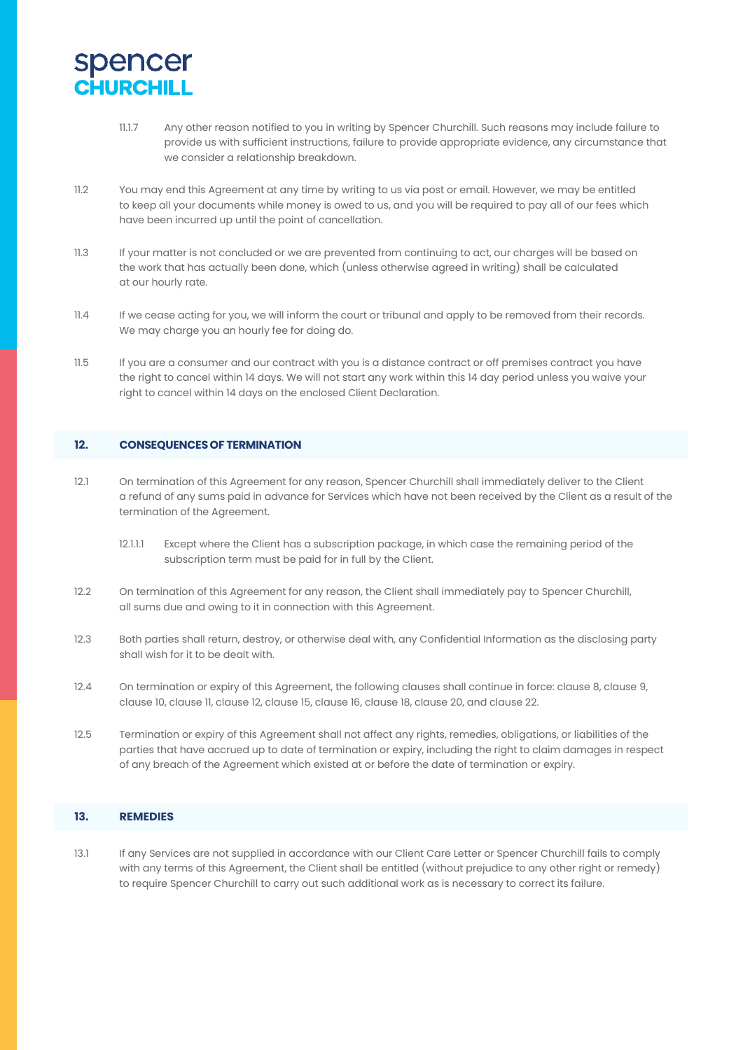- 11.1.7 Any other reason notified to you in writing by Spencer Churchill. Such reasons may include failure to provide us with sufficient instructions, failure to provide appropriate evidence, any circumstance that we consider a relationship breakdown.
- 11.2 You may end this Agreement at any time by writing to us via post or email. However, we may be entitled to keep all your documents while money is owed to us, and you will be required to pay all of our fees which have been incurred up until the point of cancellation.
- 11.3 If your matter is not concluded or we are prevented from continuing to act, our charges will be based on the work that has actually been done, which (unless otherwise agreed in writing) shall be calculated at our hourly rate.
- 11.4 If we cease acting for you, we will inform the court or tribunal and apply to be removed from their records. We may charge you an hourly fee for doing do.
- 11.5 If you are a consumer and our contract with you is a distance contract or off premises contract you have the right to cancel within 14 days. We will not start any work within this 14 day period unless you waive your right to cancel within 14 days on the enclosed Client Declaration.

### **12. CONSEQUENCESOF TERMINATION**

- 12.1 On termination of this Agreement for any reason, Spencer Churchill shall immediately deliver to the Client a refund of any sums paid in advance for Services which have not been received by the Client as a result of the termination of the Agreement.
	- 12.1.1.1 Except where the Client has a subscription package, in which case the remaining period of the subscription term must be paid for in full by the Client.
- 12.2 On termination of this Agreement for any reason, the Client shall immediately pay to Spencer Churchill, all sums due and owing to it in connection with this Agreement.
- 12.3 Both parties shall return, destroy, or otherwise deal with, any Confidential Information as the disclosing party shall wish for it to be dealt with.
- 12.4 On termination or expiry of this Agreement, the following clauses shall continue in force: clause 8, clause 9, clause 10, clause 11, clause 12, clause 15, clause 16, clause 18, clause 20, and clause 22.
- 12.5 Termination or expiry of this Agreement shall not affect any rights, remedies, obligations, or liabilities of the parties that have accrued up to date of termination or expiry, including the right to claim damages in respect of any breach of the Agreement which existed at or before the date of termination or expiry.

### **13. REMEDIES**

13.1 If any Services are not supplied in accordance with our Client Care Letter or Spencer Churchill fails to comply with any terms of this Agreement, the Client shall be entitled (without prejudice to any other right or remedy) to require Spencer Churchill to carry out such additional work as is necessary to correct its failure.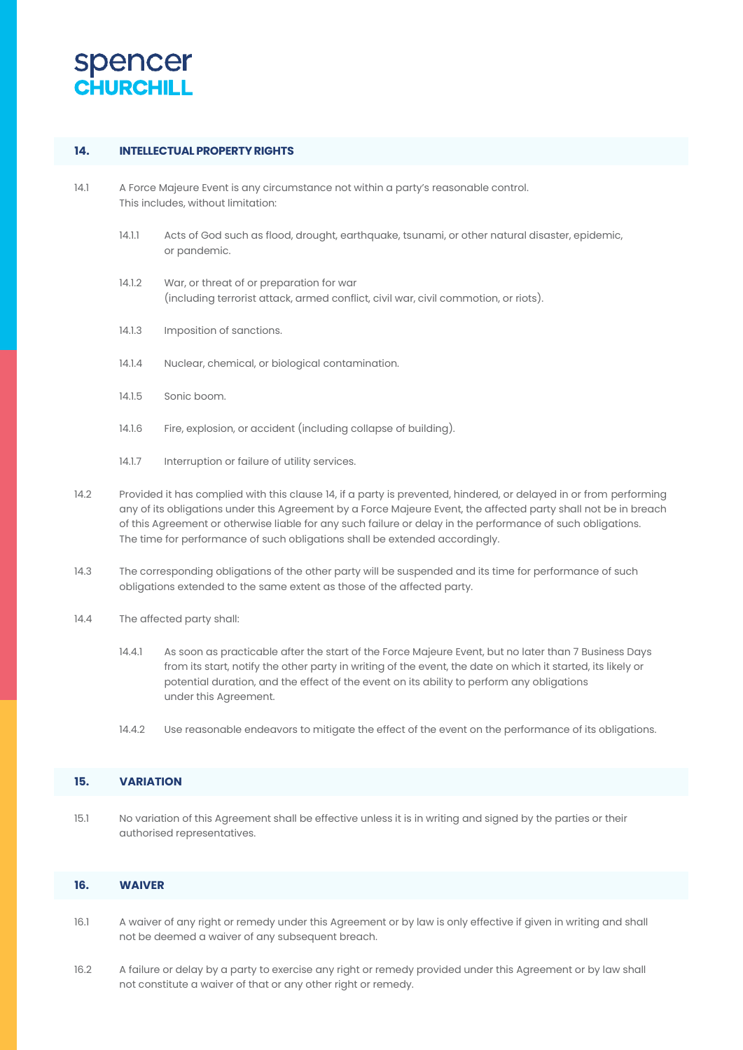

### **14. INTELLECTUALPROPERTYRIGHTS**

- 14.1 A Force Majeure Event is any circumstance not within a party's reasonable control. This includes, without limitation:
	- 14.1.1 Acts of God such as flood, drought, earthquake, tsunami, or other natural disaster, epidemic, or pandemic.
	- 14.1.2 War, or threat of or preparation for war (including terrorist attack, armed conflict, civil war, civil commotion, or riots).
	- 14.1.3 Imposition of sanctions.
	- 14.1.4 Nuclear, chemical, or biological contamination.
	- 14.1.5 Sonic boom.
	- 14.1.6 Fire, explosion, or accident (including collapse of building).
	- 14.1.7 Interruption or failure of utility services.
- 14.2 Provided it has complied with this clause 14, if a party is prevented, hindered, or delayed in or from performing any of its obligations under this Agreement by a Force Majeure Event, the affected party shall not be in breach of this Agreement or otherwise liable for any such failure or delay in the performance of such obligations. The time for performance of such obligations shall be extended accordingly.
- 14.3 The corresponding obligations of the other party will be suspended and its time for performance of such obligations extended to the same extent as those of the affected party.
- 14.4 The affected party shall:
	- 14.4.1 As soon as practicable after the start of the Force Majeure Event, but no later than 7 Business Days from its start, notify the other party in writing of the event, the date on which it started, its likely or potential duration, and the effect of the event on its ability to perform any obligations under this Agreement.
	- 14.4.2 Use reasonable endeavors to mitigate the effect of the event on the performance of its obligations.

#### **15. VARIATION**

15.1 No variation of this Agreement shall be effective unless it is in writing and signed by the parties or their authorised representatives.

### **16. WAIVER**

- 16.1 A waiver of any right or remedy under this Agreement or by law is only effective if given in writing and shall not be deemed a waiver of any subsequent breach.
- 16.2 A failure or delay by a party to exercise any right or remedy provided under this Agreement or by law shall not constitute a waiver of that or any other right or remedy.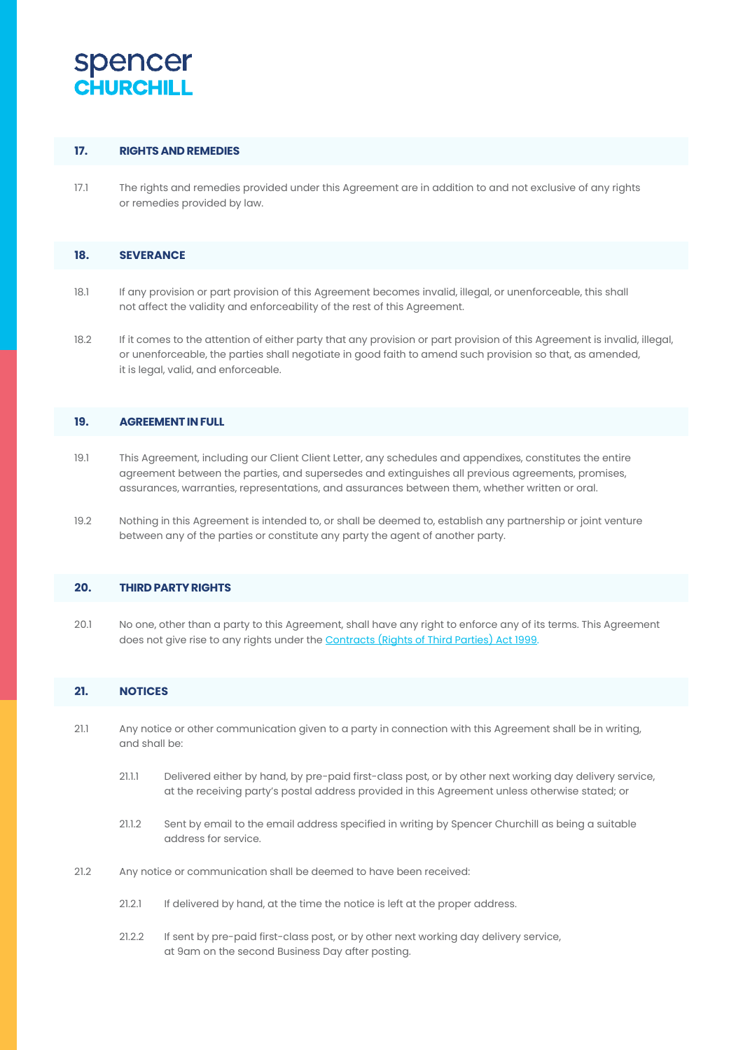#### **17. RIGHTS AND REMEDIES**

17.1 The rights and remedies provided under this Agreement are in addition to and not exclusive of any rights or remedies provided by law.

### **18. SEVERANCE**

- 18.1 If any provision or part provision of this Agreement becomes invalid, illegal, or unenforceable, this shall not affect the validity and enforceability of the rest of this Agreement.
- 18.2 If it comes to the attention of either party that any provision or part provision of this Agreement is invalid, illegal, or unenforceable, the parties shall negotiate in good faith to amend such provision so that, as amended, it is legal, valid, and enforceable.

### **19. AGREEMENTIN FULL**

- 19.1 This Agreement, including our Client Client Letter, any schedules and appendixes, constitutes the entire agreement between the parties, and supersedes and extinguishes all previous agreements, promises, assurances, warranties, representations, and assurances between them, whether written or oral.
- 19.2 Nothing in this Agreement is intended to, or shall be deemed to, establish any partnership or joint venture between any of the parties or constitute any party the agent of another party.

#### **20. THIRD PARTYRIGHTS**

20.1 No one, other than a party to this Agreement, shall have any right to enforce any of its terms. This Agreement does not give rise to any rights under the **Contracts** (Rights of Third Parties) Act 1999.

### **21. NOTICES**

- 21.1 Any notice or other communication given to a party in connection with this Agreement shall be in writing, and shall be:
	- 21.1.1 Delivered either by hand, by pre-paid first-class post, or by other next working day delivery service, at the receiving party's postal address provided in this Agreement unless otherwise stated; or
	- 21.1.2 Sent by email to the email address specified in writing by Spencer Churchill as being a suitable address for service.
- 21.2 Any notice or communication shall be deemed to have been received:
	- 21.2.1 If delivered by hand, at the time the notice is left at the proper address.
	- 21.2.2 If sent by pre-paid first-class post, or by other next working day delivery service, at 9am on the second Business Day after posting.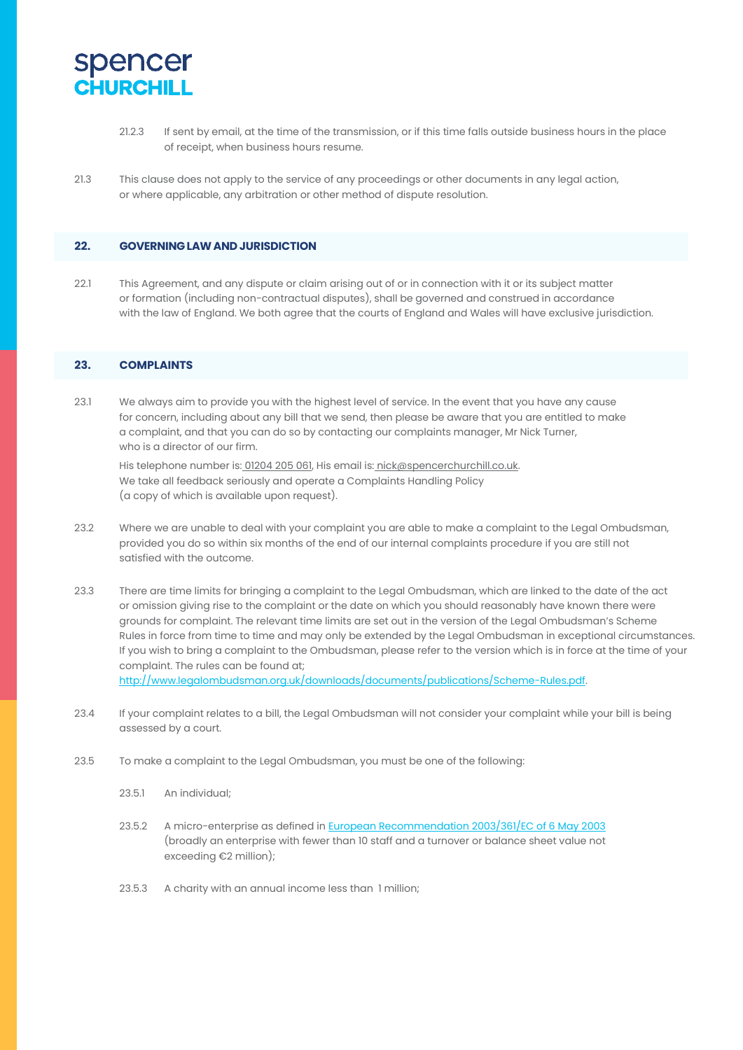

- 21.2.3 If sent by email, at the time of the transmission, or if this time falls outside business hours in the place of receipt, when business hours resume.
- 21.3 This clause does not apply to the service of any proceedings or other documents in any legal action, or where applicable, any arbitration or other method of dispute resolution.

#### **22. GOVERNINGLAWAND JURISDICTION**

22.1 This Agreement, and any dispute or claim arising out of or in connection with it or its subject matter or formation (including non-contractual disputes), shall be governed and construed in accordance with the law of England. We both agree that the courts of England and Wales will have exclusive jurisdiction.

### **23. COMPLAINTS**

23.1 We always aim to provide you with the highest level of service. In the event that you have any cause for concern, including about any bill that we send, then please be aware that you are entitled to make a complaint, and that you can do so by contacting our complaints manager, Mr Nick Turner, who is a director of our firm.

His telephone number is: 01204 205 061, His email is: nick@spencerchurchill.co.uk. We take all feedback seriously and operate a Complaints Handling Policy (a copy of which is available upon request).

- 23.2 Where we are unable to deal with your complaint you are able to make a complaint to the Legal Ombudsman, provided you do so within six months of the end of our internal complaints procedure if you are still not satisfied with the outcome.
- 23.3 There are time limits for bringing a complaint to the Legal Ombudsman, which are linked to the date of the act or omission giving rise to the complaint or the date on which you should reasonably have known there were grounds for complaint. The relevant time limits are set out in the version of the Legal Ombudsman's Scheme Rules in force from time to time and may only be extended by the Legal Ombudsman in exceptional circumstances. If you wish to bring a complaint to the Ombudsman, please refer to the version which is in force at the time of your complaint. The rules can be found at; [http://www.legalombudsman.org.uk/downloads/documents/publications/Scheme-Rules.pdf.](http://www.legalombudsman.org.uk/downloads/documents/publications/Scheme-Rules.pdf)
- 23.4 If your complaint relates to a bill, the Legal Ombudsman will not consider your complaint while your bill is being assessed by a court.
- 23.5 To make a complaint to the Legal Ombudsman, you must be one of the following:
	- 23.5.1 An individual;
	- 23.5.2 A micro-enterprise as defined in European Recommendation 2003/361/EC of 6 May 2003 (broadly an enterprise with fewer than 10 staff and a turnover or balance sheet value not exceeding €2 million);
	- 23.5.3 A charity with an annual income less than 1 million;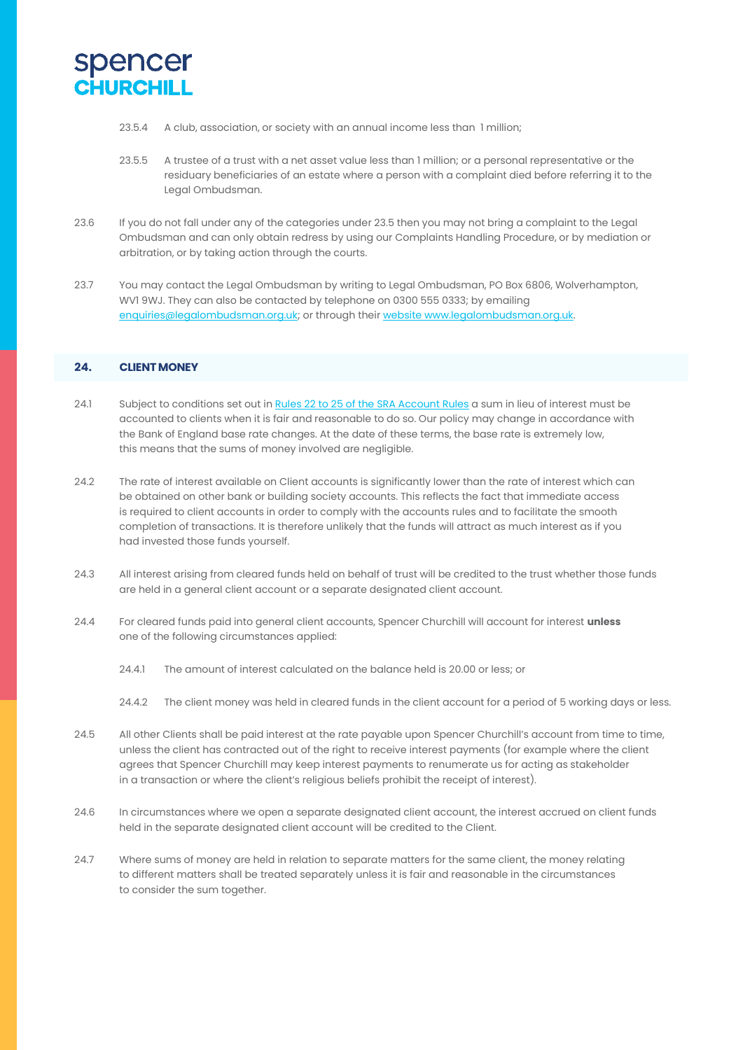

- 23.5.4 A club, association, or society with an annual income less than 1 million;
- 23.5.5 A trustee of a trust with a net asset value less than 1 million; or a personal representative or the residuary beneficiaries of an estate where a person with a complaint died before referring it to the Legal Ombudsman.
- 23.6 If you do not fall under any of the categories under 23.5 then you may not bring a complaint to the Legal Ombudsman and can only obtain redress by using our Complaints Handling Procedure, or by mediation or arbitration, or by taking action through the courts.
- 23.7 You may contact the Legal Ombudsman by writing to Legal Ombudsman, PO Box 6806, Wolverhampton, WV1 9WJ. They can also be contacted by telephone on 0300 555 0333; by emailing enquiries@legalombudsman.org.uk; or through their websit[e www.legalombudsman.org.uk.](http://www.legalombudsman.org.uk/)

#### **24. CLIENT MONEY**

- 24.1 Subject to conditions set out in Rules 22 to 25 of the SRA Account Rules a sum in lieu of interest must be accounted to clients when it is fair and reasonable to do so. Our policy may change in accordance with the Bank of England base rate changes. At the date of these terms, the base rate is extremely low, this means that the sums of money involved are negligible.
- 24.2 The rate of interest available on Client accounts is significantly lower than the rate of interest which can be obtained on other bank or building society accounts. This reflects the fact that immediate access is required to client accounts in order to comply with the accounts rules and to facilitate the smooth completion of transactions. It is therefore unlikely that the funds will attract as much interest as if you had invested those funds yourself.
- 24.3 All interest arising from cleared funds held on behalf of trust will be credited to the trust whether those funds are held in a general client account or a separate designated client account.
- 24.4 For cleared funds paid into general client accounts, Spencer Churchill will account for interest **unless** one of the following circumstances applied:
	- 24.4.1 The amount of interest calculated on the balance held is 20.00 or less; or
	- 24.4.2 The client money was held in cleared funds in the client account for a period of 5 working days or less.
- 24.5 All other Clients shall be paid interest at the rate payable upon Spencer Churchill's account from time to time, unless the client has contracted out of the right to receive interest payments (for example where the client agrees that Spencer Churchill may keep interest payments to renumerate us for acting as stakeholder in a transaction or where the client's religious beliefs prohibit the receipt of interest).
- 24.6 In circumstances where we open a separate designated client account, the interest accrued on client funds held in the separate designated client account will be credited to the Client.
- 24.7 Where sums of money are held in relation to separate matters for the same client, the money relating to different matters shall be treated separately unless it is fair and reasonable in the circumstances to consider the sum together.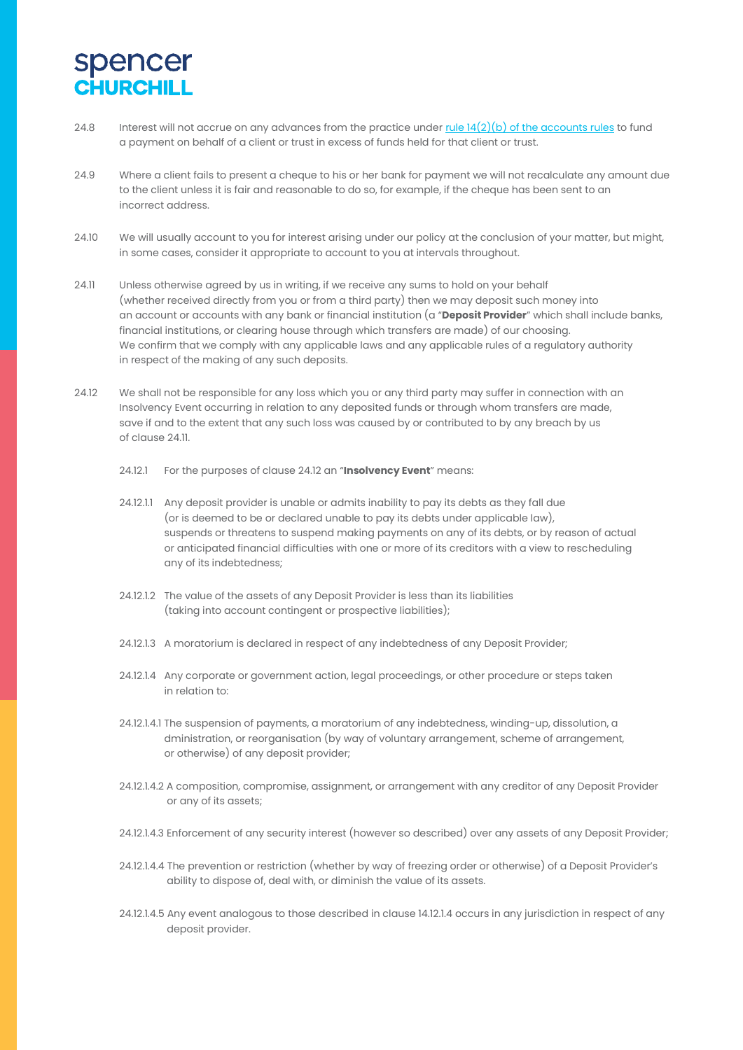- 24.8 Interest will not accrue on any advances from the practice under rule 14(2)(b) of the accounts rules to fund a payment on behalf of a client or trust in excess of funds held for that client or trust.
- 24.9 Where a client fails to present a cheque to his or her bank for payment we will not recalculate any amount due to the client unless it is fair and reasonable to do so, for example, if the cheque has been sent to an incorrect address.
- 24.10 We will usually account to you for interest arising under our policy at the conclusion of your matter, but might, in some cases, consider it appropriate to account to you at intervals throughout.
- 24.11 Unless otherwise agreed by us in writing, if we receive any sums to hold on your behalf (whether received directly from you or from a third party) then we may deposit such money into an account or accounts with any bank or financial institution (a "**Deposit Provider**" which shall include banks, financial institutions, or clearing house through which transfers are made) of our choosing. We confirm that we comply with any applicable laws and any applicable rules of a regulatory authority in respect of the making of any such deposits.
- 24.12 We shall not be responsible for any loss which you or any third party may suffer in connection with an Insolvency Event occurring in relation to any deposited funds or through whom transfers are made, save if and to the extent that any such loss was caused by or contributed to by any breach by us of clause 24.11.
	- 24.12.1 For the purposes of clause 24.12 an "**Insolvency Event**" means:
	- 24.12.1.1 Any deposit provider is unable or admits inability to pay its debts as they fall due (or is deemed to be or declared unable to pay its debts under applicable law), suspends or threatens to suspend making payments on any of its debts, or by reason of actual or anticipated financial difficulties with one or more of its creditors with a view to rescheduling any of its indebtedness;
	- 24.12.1.2 The value of the assets of any Deposit Provider is less than its liabilities (taking into account contingent or prospective liabilities);
	- 24.12.1.3 A moratorium is declared in respect of any indebtedness of any Deposit Provider;
	- 24.12.1.4 Any corporate or government action, legal proceedings, or other procedure or steps taken in relation to:
	- 24.12.1.4.1 The suspension of payments, a moratorium of any indebtedness, winding-up, dissolution, a dministration, or reorganisation (by way of voluntary arrangement, scheme of arrangement, or otherwise) of any deposit provider;
	- 24.12.1.4.2 A composition, compromise, assignment, or arrangement with any creditor of any Deposit Provider or any of its assets;
	- 24.12.1.4.3 Enforcement of any security interest (however so described) over any assets of any Deposit Provider;
	- 24.12.1.4.4 The prevention or restriction (whether by way of freezing order or otherwise) of a Deposit Provider's ability to dispose of, deal with, or diminish the value of its assets.
	- 24.12.1.4.5 Any event analogous to those described in clause 14.12.1.4 occurs in any jurisdiction in respect of any deposit provider.